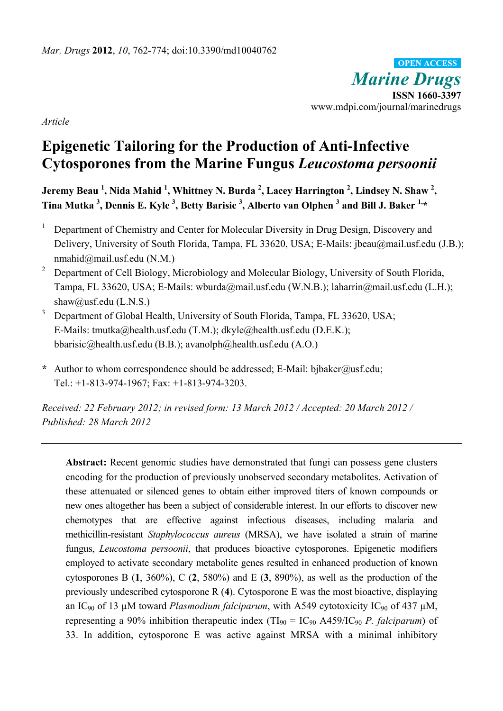*Marine Drugs* **ISSN 1660-3397**  www.mdpi.com/journal/marinedrugs **OPEN ACCESS**

*Article* 

# **Epigenetic Tailoring for the Production of Anti-Infective Cytosporones from the Marine Fungus** *Leucostoma persoonii*

**Jeremy Beau <sup>1</sup> , Nida Mahid <sup>1</sup> , Whittney N. Burda 2 , Lacey Harrington <sup>2</sup> , Lindsey N. Shaw 2 , Tina Mutka 3 , Dennis E. Kyle 3 , Betty Barisic 3 , Alberto van Olphen <sup>3</sup> and Bill J. Baker 1,\*** 

- 1 Department of Chemistry and Center for Molecular Diversity in Drug Design, Discovery and Delivery, University of South Florida, Tampa, FL 33620, USA; E-Mails: jbeau@mail.usf.edu (J.B.); nmahid@mail.usf.edu (N.M.)
- 2 Department of Cell Biology, Microbiology and Molecular Biology, University of South Florida, Tampa, FL 33620, USA; E-Mails: wburda@mail.usf.edu (W.N.B.); laharrin@mail.usf.edu (L.H.); shaw@usf.edu (L.N.S.)
- 3 Department of Global Health, University of South Florida, Tampa, FL 33620, USA; E-Mails: tmutka@health.usf.edu (T.M.); dkyle@health.usf.edu (D.E.K.); bbarisic@health.usf.edu (B.B.); avanolph@health.usf.edu (A.O.)
- **\*** Author to whom correspondence should be addressed; E-Mail: bjbaker@usf.edu; Tel.: +1-813-974-1967; Fax: +1-813-974-3203.

*Received: 22 February 2012; in revised form: 13 March 2012 / Accepted: 20 March 2012 / Published: 28 March 2012* 

**Abstract:** Recent genomic studies have demonstrated that fungi can possess gene clusters encoding for the production of previously unobserved secondary metabolites. Activation of these attenuated or silenced genes to obtain either improved titers of known compounds or new ones altogether has been a subject of considerable interest. In our efforts to discover new chemotypes that are effective against infectious diseases, including malaria and methicillin-resistant *Staphylococcus aureus* (MRSA), we have isolated a strain of marine fungus, *Leucostoma persoonii*, that produces bioactive cytosporones. Epigenetic modifiers employed to activate secondary metabolite genes resulted in enhanced production of known cytosporones B (**1**, 360%), C (**2**, 580%) and E (**3**, 890%), as well as the production of the previously undescribed cytosporone R (**4**). Cytosporone E was the most bioactive, displaying an  $IC_{90}$  of 13  $\mu$ M toward *Plasmodium falciparum*, with A549 cytotoxicity  $IC_{90}$  of 437  $\mu$ M, representing a 90% inhibition therapeutic index  $(TI_{90} = IC_{90}$  A459/IC<sub>90</sub> *P. falciparum*) of 33. In addition, cytosporone E was active against MRSA with a minimal inhibitory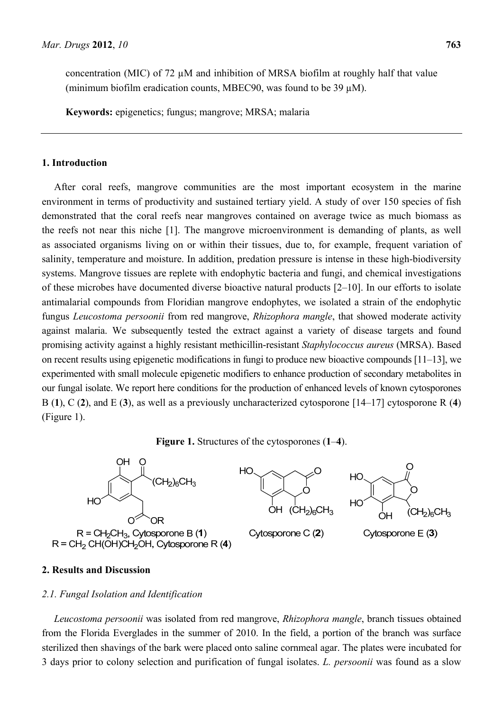concentration (MIC) of  $72 \mu M$  and inhibition of MRSA biofilm at roughly half that value (minimum biofilm eradication counts, MBEC90, was found to be  $39 \mu M$ ).

**Keywords:** epigenetics; fungus; mangrove; MRSA; malaria

# **1. Introduction**

After coral reefs, mangrove communities are the most important ecosystem in the marine environment in terms of productivity and sustained tertiary yield. A study of over 150 species of fish demonstrated that the coral reefs near mangroves contained on average twice as much biomass as the reefs not near this niche [1]. The mangrove microenvironment is demanding of plants, as well as associated organisms living on or within their tissues, due to, for example, frequent variation of salinity, temperature and moisture. In addition, predation pressure is intense in these high-biodiversity systems. Mangrove tissues are replete with endophytic bacteria and fungi, and chemical investigations of these microbes have documented diverse bioactive natural products [2–10]. In our efforts to isolate antimalarial compounds from Floridian mangrove endophytes, we isolated a strain of the endophytic fungus *Leucostoma persoonii* from red mangrove, *Rhizophora mangle*, that showed moderate activity against malaria. We subsequently tested the extract against a variety of disease targets and found promising activity against a highly resistant methicillin-resistant *Staphylococcus aureus* (MRSA). Based on recent results using epigenetic modifications in fungi to produce new bioactive compounds [11–13], we experimented with small molecule epigenetic modifiers to enhance production of secondary metabolites in our fungal isolate. We report here conditions for the production of enhanced levels of known cytosporones B (**1**), C (**2**), and E (**3**), as well as a previously uncharacterized cytosporone [14–17] cytosporone R (**4**) (Figure 1).





# **2. Results and Discussion**

## *2.1. Fungal Isolation and Identification*

*Leucostoma persoonii* was isolated from red mangrove, *Rhizophora mangle*, branch tissues obtained from the Florida Everglades in the summer of 2010. In the field, a portion of the branch was surface sterilized then shavings of the bark were placed onto saline cornmeal agar. The plates were incubated for 3 days prior to colony selection and purification of fungal isolates. *L. persoonii* was found as a slow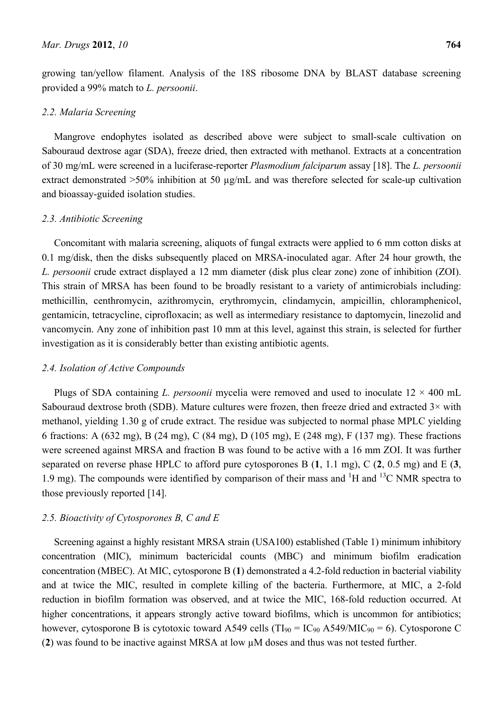growing tan/yellow filament. Analysis of the 18S ribosome DNA by BLAST database screening provided a 99% match to *L. persoonii*.

# *2.2. Malaria Screening*

Mangrove endophytes isolated as described above were subject to small-scale cultivation on Sabouraud dextrose agar (SDA), freeze dried, then extracted with methanol. Extracts at a concentration of 30 mg/mL were screened in a luciferase-reporter *Plasmodium falciparum* assay [18]. The *L. persoonii* extract demonstrated >50% inhibition at 50 µg/mL and was therefore selected for scale-up cultivation and bioassay-guided isolation studies.

# *2.3. Antibiotic Screening*

Concomitant with malaria screening, aliquots of fungal extracts were applied to 6 mm cotton disks at 0.1 mg/disk, then the disks subsequently placed on MRSA-inoculated agar. After 24 hour growth, the *L. persoonii* crude extract displayed a 12 mm diameter (disk plus clear zone) zone of inhibition (ZOI). This strain of MRSA has been found to be broadly resistant to a variety of antimicrobials including: methicillin, centhromycin, azithromycin, erythromycin, clindamycin, ampicillin, chloramphenicol, gentamicin, tetracycline, ciprofloxacin; as well as intermediary resistance to daptomycin, linezolid and vancomycin. Any zone of inhibition past 10 mm at this level, against this strain, is selected for further investigation as it is considerably better than existing antibiotic agents.

## *2.4. Isolation of Active Compounds*

Plugs of SDA containing *L. persoonii* mycelia were removed and used to inoculate  $12 \times 400$  mL Sabouraud dextrose broth (SDB). Mature cultures were frozen, then freeze dried and extracted  $3\times$  with methanol, yielding 1.30 g of crude extract. The residue was subjected to normal phase MPLC yielding 6 fractions: A (632 mg), B (24 mg), C (84 mg), D (105 mg), E (248 mg), F (137 mg). These fractions were screened against MRSA and fraction B was found to be active with a 16 mm ZOI. It was further separated on reverse phase HPLC to afford pure cytosporones B (**1**, 1.1 mg), C (**2**, 0.5 mg) and E (**3**, 1.9 mg). The compounds were identified by comparison of their mass and  ${}^{1}H$  and  ${}^{13}C$  NMR spectra to those previously reported [14].

# *2.5. Bioactivity of Cytosporones B, C and E*

Screening against a highly resistant MRSA strain (USA100) established (Table 1) minimum inhibitory concentration (MIC), minimum bactericidal counts (MBC) and minimum biofilm eradication concentration (MBEC). At MIC, cytosporone B (**1**) demonstrated a 4.2-fold reduction in bacterial viability and at twice the MIC, resulted in complete killing of the bacteria. Furthermore, at MIC, a 2-fold reduction in biofilm formation was observed, and at twice the MIC, 168-fold reduction occurred. At higher concentrations, it appears strongly active toward biofilms, which is uncommon for antibiotics; however, cytosporone B is cytotoxic toward A549 cells ( $TI_{90} = IC_{90}$  A549/MIC<sub>90</sub> = 6). Cytosporone C (**2**) was found to be inactive against MRSA at low µM doses and thus was not tested further.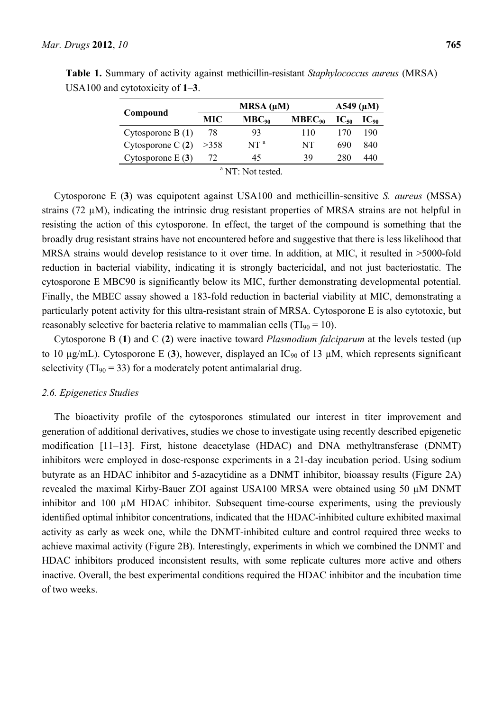|                              | $MRSA(\mu M)$ |                 |             | $A549 \; (\mu M)$ |           |  |
|------------------------------|---------------|-----------------|-------------|-------------------|-----------|--|
| Compound                     | MIC.          | $MBC_{90}$      | $MBEC_{90}$ | $IC_{50}$         | $IC_{90}$ |  |
| Cytosporone $B(1)$           | 78            | 93              | 110         | 170               | 190       |  |
| Cytosporone $C(2)$           | >358          | NT <sup>a</sup> | NT          | 690               | 840       |  |
| Cytosporone $E(3)$           | 72            | 45              | 39          | 280               | 440       |  |
| <sup>a</sup> NT: Not tested. |               |                 |             |                   |           |  |

**Table 1.** Summary of activity against methicillin-resistant *Staphylococcus aureus* (MRSA) USA100 and cytotoxicity of **1**–**3**.

Cytosporone E (**3**) was equipotent against USA100 and methicillin-sensitive *S. aureus* (MSSA) strains (72 µM), indicating the intrinsic drug resistant properties of MRSA strains are not helpful in resisting the action of this cytosporone. In effect, the target of the compound is something that the broadly drug resistant strains have not encountered before and suggestive that there is less likelihood that MRSA strains would develop resistance to it over time. In addition, at MIC, it resulted in >5000-fold reduction in bacterial viability, indicating it is strongly bactericidal, and not just bacteriostatic. The cytosporone E MBC90 is significantly below its MIC, further demonstrating developmental potential. Finally, the MBEC assay showed a 183-fold reduction in bacterial viability at MIC, demonstrating a particularly potent activity for this ultra-resistant strain of MRSA. Cytosporone E is also cytotoxic, but reasonably selective for bacteria relative to mammalian cells ( $TI_{90} = 10$ ).

Cytosporone B (**1**) and C (**2**) were inactive toward *Plasmodium falciparum* at the levels tested (up to 10  $\mu$ g/mL). Cytosporone E (3), however, displayed an IC<sub>90</sub> of 13  $\mu$ M, which represents significant selectivity ( $TI_{90} = 33$ ) for a moderately potent antimalarial drug.

## *2.6. Epigenetics Studies*

The bioactivity profile of the cytosporones stimulated our interest in titer improvement and generation of additional derivatives, studies we chose to investigate using recently described epigenetic modification [11–13]. First, histone deacetylase (HDAC) and DNA methyltransferase (DNMT) inhibitors were employed in dose-response experiments in a 21-day incubation period. Using sodium butyrate as an HDAC inhibitor and 5-azacytidine as a DNMT inhibitor, bioassay results (Figure 2A) revealed the maximal Kirby-Bauer ZOI against USA100 MRSA were obtained using 50 µM DNMT inhibitor and 100 µM HDAC inhibitor. Subsequent time-course experiments, using the previously identified optimal inhibitor concentrations, indicated that the HDAC-inhibited culture exhibited maximal activity as early as week one, while the DNMT-inhibited culture and control required three weeks to achieve maximal activity (Figure 2B). Interestingly, experiments in which we combined the DNMT and HDAC inhibitors produced inconsistent results, with some replicate cultures more active and others inactive. Overall, the best experimental conditions required the HDAC inhibitor and the incubation time of two weeks.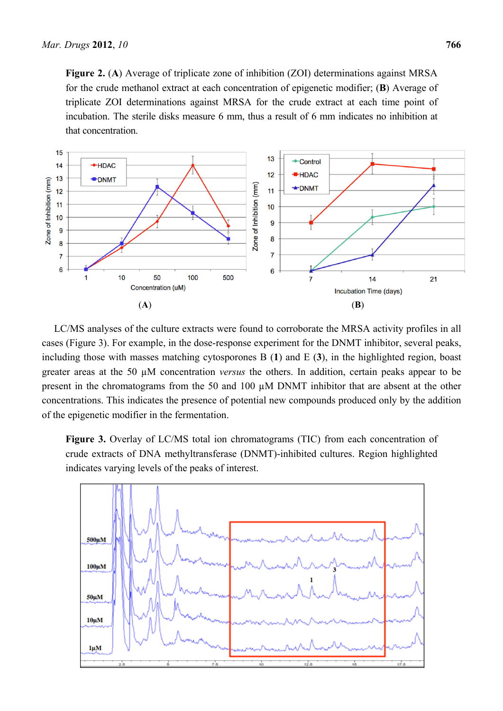**Figure 2.** (**A**) Average of triplicate zone of inhibition (ZOI) determinations against MRSA for the crude methanol extract at each concentration of epigenetic modifier; (**B**) Average of triplicate ZOI determinations against MRSA for the crude extract at each time point of incubation. The sterile disks measure 6 mm, thus a result of 6 mm indicates no inhibition at that concentration.



LC/MS analyses of the culture extracts were found to corroborate the MRSA activity profiles in all cases (Figure 3). For example, in the dose-response experiment for the DNMT inhibitor, several peaks, including those with masses matching cytosporones B (**1**) and E (**3**), in the highlighted region, boast greater areas at the 50 µM concentration *versus* the others. In addition, certain peaks appear to be present in the chromatograms from the 50 and 100 µM DNMT inhibitor that are absent at the other concentrations. This indicates the presence of potential new compounds produced only by the addition of the epigenetic modifier in the fermentation.

**Figure 3.** Overlay of LC/MS total ion chromatograms (TIC) from each concentration of crude extracts of DNA methyltransferase (DNMT)-inhibited cultures. Region highlighted indicates varying levels of the peaks of interest.

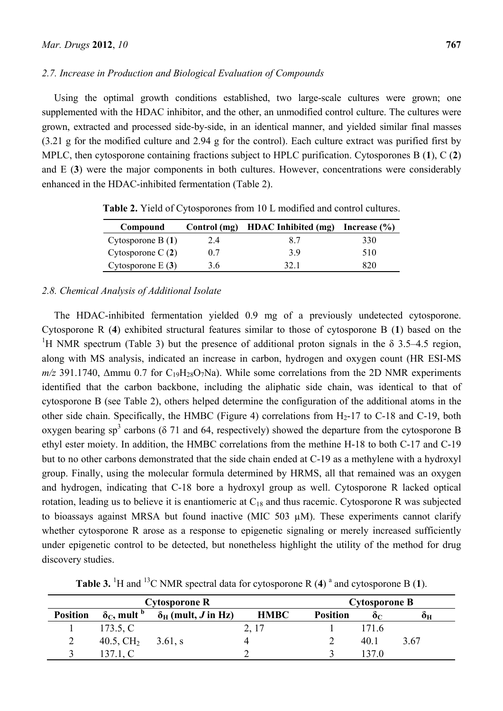# *2.7. Increase in Production and Biological Evaluation of Compounds*

Using the optimal growth conditions established, two large-scale cultures were grown; one supplemented with the HDAC inhibitor, and the other, an unmodified control culture. The cultures were grown, extracted and processed side-by-side, in an identical manner, and yielded similar final masses (3.21 g for the modified culture and 2.94 g for the control). Each culture extract was purified first by MPLC, then cytosporone containing fractions subject to HPLC purification. Cytosporones B (**1**), C (**2**) and E (**3**) were the major components in both cultures. However, concentrations were considerably enhanced in the HDAC-inhibited fermentation (Table 2).

| Compound            | Control (mg) | <b>HDAC</b> Inhibited (mg) | Increase $(\% )$ |
|---------------------|--------------|----------------------------|------------------|
| Cytosporone B $(1)$ | 2.4          | 87                         | 330              |
| Cytosporone C $(2)$ | 0.7          | 39                         | 510              |
| Cytosporone $E(3)$  | 3.6          | 32 1                       | 320              |

**Table 2.** Yield of Cytosporones from 10 L modified and control cultures.

# *2.8. Chemical Analysis of Additional Isolate*

The HDAC-inhibited fermentation yielded 0.9 mg of a previously undetected cytosporone. Cytosporone R (**4**) exhibited structural features similar to those of cytosporone B (**1**) based on the <sup>1</sup>H NMR spectrum (Table 3) but the presence of additional proton signals in the  $\delta$  3.5–4.5 region, along with MS analysis, indicated an increase in carbon, hydrogen and oxygen count (HR ESI-MS  $m/z$  391.1740,  $\Delta$ mmu 0.7 for C<sub>19</sub>H<sub>28</sub>O<sub>7</sub>Na). While some correlations from the 2D NMR experiments identified that the carbon backbone, including the aliphatic side chain, was identical to that of cytosporone B (see Table 2), others helped determine the configuration of the additional atoms in the other side chain. Specifically, the HMBC (Figure 4) correlations from  $H_2$ -17 to C-18 and C-19, both oxygen bearing sp<sup>3</sup> carbons ( $\delta$  71 and 64, respectively) showed the departure from the cytosporone B ethyl ester moiety. In addition, the HMBC correlations from the methine H-18 to both C-17 and C-19 but to no other carbons demonstrated that the side chain ended at C-19 as a methylene with a hydroxyl group. Finally, using the molecular formula determined by HRMS, all that remained was an oxygen and hydrogen, indicating that C-18 bore a hydroxyl group as well. Cytosporone R lacked optical rotation, leading us to believe it is enantiomeric at  $C_{18}$  and thus racemic. Cytosporone R was subjected to bioassays against MRSA but found inactive (MIC 503 µM). These experiments cannot clarify whether cytosporone R arose as a response to epigenetic signaling or merely increased sufficiently under epigenetic control to be detected, but nonetheless highlight the utility of the method for drug discovery studies.

**Table 3.** <sup>1</sup>H and <sup>13</sup>C NMR spectral data for cytosporone R  $(4)$ <sup>a</sup> and cytosporone B  $(1)$ .

| Cytosporone R   |                                    |                                         | <b>Cytosporone B</b> |                 |       |      |
|-----------------|------------------------------------|-----------------------------------------|----------------------|-----------------|-------|------|
| <b>Position</b> | $\delta_{\rm C}$ , mult $^{\rm b}$ | $\delta_{\rm H}$ (mult, <i>J</i> in Hz) | <b>HMBC</b>          | <b>Position</b> | Òс    | Oн   |
|                 | 173.5, C                           |                                         | 2, 17                |                 | 171.6 |      |
| 2               | 40.5, $CH2$                        | $3.61$ , s                              |                      |                 | 40 1  | 3.67 |
|                 | 137.1, C                           |                                         |                      |                 | 137 O |      |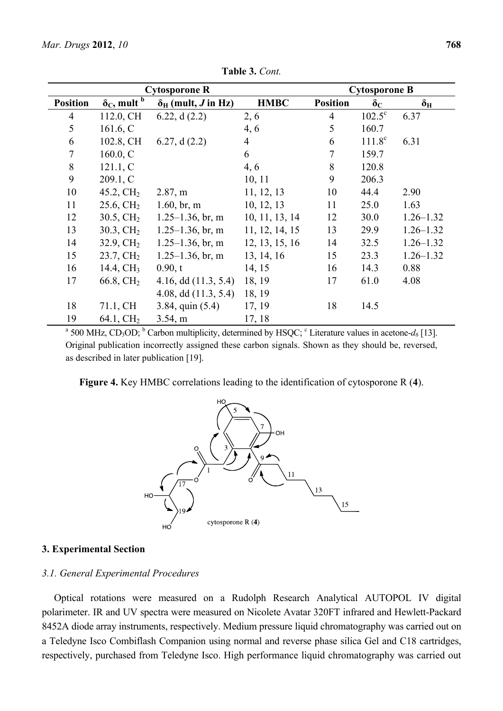| <b>Cytosporone R</b>                                                                                                                                   |                                        |                                         | <b>Cytosporone B</b> |                 |                  |                  |
|--------------------------------------------------------------------------------------------------------------------------------------------------------|----------------------------------------|-----------------------------------------|----------------------|-----------------|------------------|------------------|
| <b>Position</b>                                                                                                                                        | $\delta_{\rm C}$ , mult $\overline{b}$ | $\delta_{\rm H}$ (mult, <i>J</i> in Hz) | <b>HMBC</b>          | <b>Position</b> | $\delta_{\rm C}$ | $\delta_{\rm H}$ |
| $\overline{4}$                                                                                                                                         | 112.0, CH                              | 6.22, $d(2.2)$                          | 2, 6                 | $\overline{4}$  | $102.5^{\circ}$  | 6.37             |
| 5                                                                                                                                                      | 161.6, C                               |                                         | 4, 6                 | 5               | 160.7            |                  |
| 6                                                                                                                                                      | 102.8, CH                              | 6.27, $d(2.2)$                          | $\overline{4}$       | 6               | $111.8^{\circ}$  | 6.31             |
| $\overline{7}$                                                                                                                                         | 160.0, C                               |                                         | 6                    | 7               | 159.7            |                  |
| $\,8\,$                                                                                                                                                | 121.1, C                               |                                         | 4, 6                 | 8               | 120.8            |                  |
| 9                                                                                                                                                      | 209.1, C                               |                                         | 10, 11               | 9               | 206.3            |                  |
| 10                                                                                                                                                     | 45.2, $CH2$                            | 2.87, m                                 | 11, 12, 13           | 10              | 44.4             | 2.90             |
| 11                                                                                                                                                     | $25.6, \mathrm{CH}_2$                  | $1.60$ , br, m                          | 10, 12, 13           | 11              | 25.0             | 1.63             |
| 12                                                                                                                                                     | $30.5, \mathrm{CH}_2$                  | $1.25 - 1.36$ , br, m                   | 10, 11, 13, 14       | 12              | 30.0             | $1.26 - 1.32$    |
| 13                                                                                                                                                     | $30.3, \mathrm{CH}_2$                  | $1.25 - 1.36$ , br, m                   | 11, 12, 14, 15       | 13              | 29.9             | $1.26 - 1.32$    |
| 14                                                                                                                                                     | $32.9, \mathrm{CH}_2$                  | $1.25 - 1.36$ , br, m                   | 12, 13, 15, 16       | 14              | 32.5             | $1.26 - 1.32$    |
| 15                                                                                                                                                     | $23.7, \mathrm{CH}_2$                  | $1.25 - 1.36$ , br, m                   | 13, 14, 16           | 15              | 23.3             | $1.26 - 1.32$    |
| 16                                                                                                                                                     | 14.4, CH <sub>3</sub>                  | 0.90, t                                 | 14, 15               | 16              | 14.3             | 0.88             |
| 17                                                                                                                                                     | 66.8, CH <sub>2</sub>                  | 4.16, dd $(11.3, 5.4)$                  | 18, 19               | 17              | 61.0             | 4.08             |
|                                                                                                                                                        |                                        | 4.08, dd $(11.3, 5.4)$                  | 18, 19               |                 |                  |                  |
| 18                                                                                                                                                     | 71.1, CH                               | $3.84$ , quin $(5.4)$                   | 17, 19               | 18              | 14.5             |                  |
| 19                                                                                                                                                     | 64.1, CH <sub>2</sub>                  | 3.54, m                                 | 17, 18               |                 |                  |                  |
| <sup>a</sup> 500 MHz, CD <sub>3</sub> OD; <sup>b</sup> Carbon multiplicity, determined by HSQC; <sup>c</sup> Literature values in acetone- $d_6$ [13]. |                                        |                                         |                      |                 |                  |                  |

**Table 3.** *Cont.*

Original publication incorrectly assigned these carbon signals. Shown as they should be, reversed, as described in later publication [19].

**Figure 4.** Key HMBC correlations leading to the identification of cytosporone R (**4**).



## **3. Experimental Section**

#### *3.1. General Experimental Procedures*

Optical rotations were measured on a Rudolph Research Analytical AUTOPOL IV digital polarimeter. IR and UV spectra were measured on Nicolete Avatar 320FT infrared and Hewlett-Packard 8452A diode array instruments, respectively. Medium pressure liquid chromatography was carried out on a Teledyne Isco Combiflash Companion using normal and reverse phase silica Gel and C18 cartridges, respectively, purchased from Teledyne Isco. High performance liquid chromatography was carried out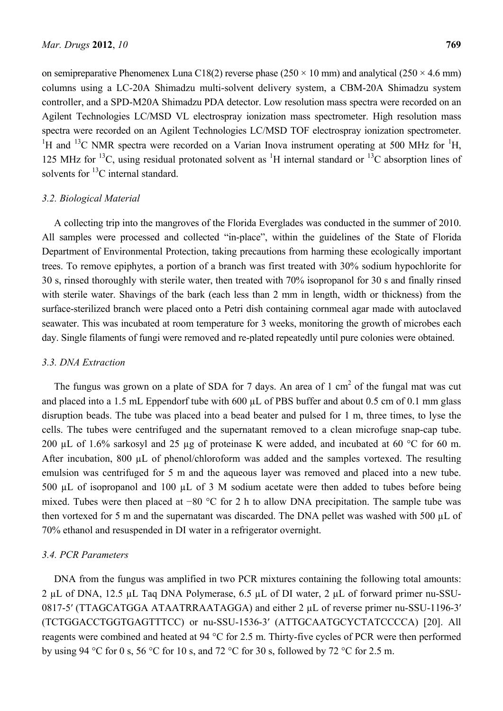on semipreparative Phenomenex Luna C18(2) reverse phase ( $250 \times 10$  mm) and analytical ( $250 \times 4.6$  mm) columns using a LC-20A Shimadzu multi-solvent delivery system, a CBM-20A Shimadzu system controller, and a SPD-M20A Shimadzu PDA detector. Low resolution mass spectra were recorded on an Agilent Technologies LC/MSD VL electrospray ionization mass spectrometer. High resolution mass spectra were recorded on an Agilent Technologies LC/MSD TOF electrospray ionization spectrometer. <sup>1</sup>H and <sup>13</sup>C NMR spectra were recorded on a Varian Inova instrument operating at 500 MHz for <sup>1</sup>H, 125 MHz for <sup>13</sup>C, using residual protonated solvent as <sup>1</sup>H internal standard or <sup>13</sup>C absorption lines of solvents for  ${}^{13}C$  internal standard.

## *3.2. Biological Material*

A collecting trip into the mangroves of the Florida Everglades was conducted in the summer of 2010. All samples were processed and collected "in-place", within the guidelines of the State of Florida Department of Environmental Protection, taking precautions from harming these ecologically important trees. To remove epiphytes, a portion of a branch was first treated with 30% sodium hypochlorite for 30 s, rinsed thoroughly with sterile water, then treated with 70% isopropanol for 30 s and finally rinsed with sterile water. Shavings of the bark (each less than 2 mm in length, width or thickness) from the surface-sterilized branch were placed onto a Petri dish containing cornmeal agar made with autoclaved seawater. This was incubated at room temperature for 3 weeks, monitoring the growth of microbes each day. Single filaments of fungi were removed and re-plated repeatedly until pure colonies were obtained.

#### *3.3. DNA Extraction*

The fungus was grown on a plate of SDA for 7 days. An area of  $1 \text{ cm}^2$  of the fungal mat was cut and placed into a 1.5 mL Eppendorf tube with 600 µL of PBS buffer and about 0.5 cm of 0.1 mm glass disruption beads. The tube was placed into a bead beater and pulsed for 1 m, three times, to lyse the cells. The tubes were centrifuged and the supernatant removed to a clean microfuge snap-cap tube. 200 µL of 1.6% sarkosyl and 25 µg of proteinase K were added, and incubated at 60  $\degree$ C for 60 m. After incubation, 800 µL of phenol/chloroform was added and the samples vortexed. The resulting emulsion was centrifuged for 5 m and the aqueous layer was removed and placed into a new tube. 500 µL of isopropanol and 100 µL of 3 M sodium acetate were then added to tubes before being mixed. Tubes were then placed at −80 °C for 2 h to allow DNA precipitation. The sample tube was then vortexed for 5 m and the supernatant was discarded. The DNA pellet was washed with 500 µL of 70% ethanol and resuspended in DI water in a refrigerator overnight.

## *3.4. PCR Parameters*

DNA from the fungus was amplified in two PCR mixtures containing the following total amounts: 2 µL of DNA, 12.5 µL Taq DNA Polymerase, 6.5 µL of DI water, 2 µL of forward primer nu-SSU-0817-5′ (TTAGCATGGA ATAATRRAATAGGA) and either 2 µL of reverse primer nu-SSU-1196-3′ (TCTGGACCTGGTGAGTTTCC) or nu-SSU-1536-3′ (ATTGCAATGCYCTATCCCCA) [20]. All reagents were combined and heated at 94 °C for 2.5 m. Thirty-five cycles of PCR were then performed by using 94 °C for 0 s, 56 °C for 10 s, and 72 °C for 30 s, followed by 72 °C for 2.5 m.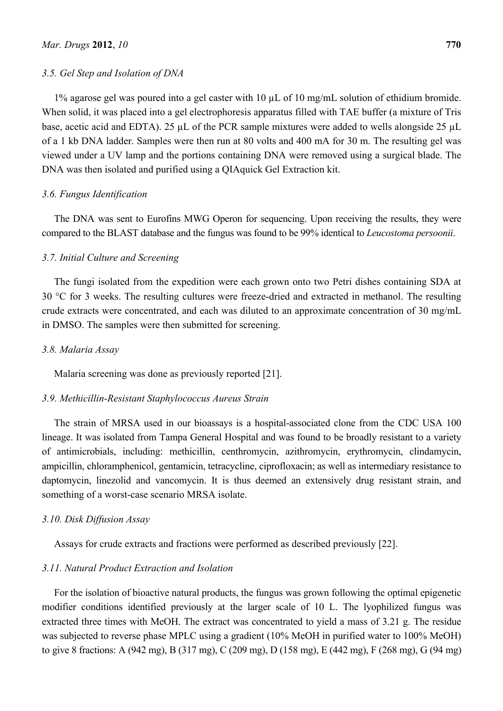# *3.5. Gel Step and Isolation of DNA*

1% agarose gel was poured into a gel caster with 10 µL of 10 mg/mL solution of ethidium bromide. When solid, it was placed into a gel electrophoresis apparatus filled with TAE buffer (a mixture of Tris base, acetic acid and EDTA). 25 µL of the PCR sample mixtures were added to wells alongside 25 µL of a 1 kb DNA ladder. Samples were then run at 80 volts and 400 mA for 30 m. The resulting gel was viewed under a UV lamp and the portions containing DNA were removed using a surgical blade. The DNA was then isolated and purified using a QIAquick Gel Extraction kit.

# *3.6. Fungus Identification*

The DNA was sent to Eurofins MWG Operon for sequencing. Upon receiving the results, they were compared to the BLAST database and the fungus was found to be 99% identical to *Leucostoma persoonii*.

# *3.7. Initial Culture and Screening*

The fungi isolated from the expedition were each grown onto two Petri dishes containing SDA at 30 °C for 3 weeks. The resulting cultures were freeze-dried and extracted in methanol. The resulting crude extracts were concentrated, and each was diluted to an approximate concentration of 30 mg/mL in DMSO. The samples were then submitted for screening.

# *3.8. Malaria Assay*

Malaria screening was done as previously reported [21].

#### *3.9. Methicillin-Resistant Staphylococcus Aureus Strain*

The strain of MRSA used in our bioassays is a hospital-associated clone from the CDC USA 100 lineage. It was isolated from Tampa General Hospital and was found to be broadly resistant to a variety of antimicrobials, including: methicillin, centhromycin, azithromycin, erythromycin, clindamycin, ampicillin, chloramphenicol, gentamicin, tetracycline, ciprofloxacin; as well as intermediary resistance to daptomycin, linezolid and vancomycin. It is thus deemed an extensively drug resistant strain, and something of a worst-case scenario MRSA isolate.

#### *3.10. Disk Diffusion Assay*

Assays for crude extracts and fractions were performed as described previously [22].

# *3.11. Natural Product Extraction and Isolation*

For the isolation of bioactive natural products, the fungus was grown following the optimal epigenetic modifier conditions identified previously at the larger scale of 10 L. The lyophilized fungus was extracted three times with MeOH. The extract was concentrated to yield a mass of 3.21 g. The residue was subjected to reverse phase MPLC using a gradient (10% MeOH in purified water to 100% MeOH) to give 8 fractions: A (942 mg), B (317 mg), C (209 mg), D (158 mg), E (442 mg), F (268 mg), G (94 mg)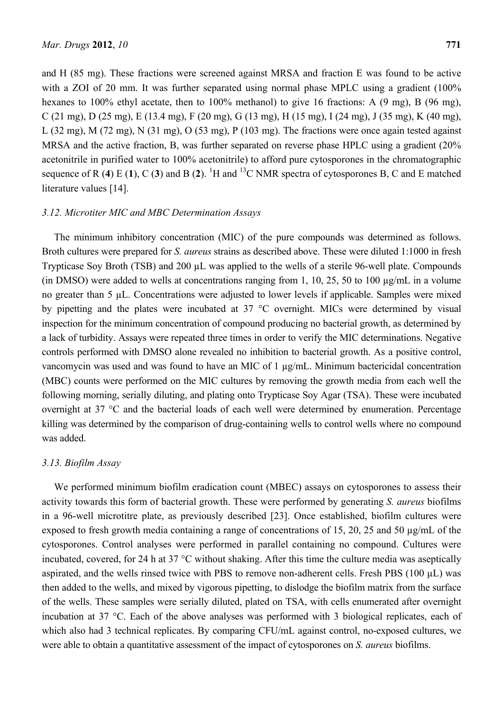and H (85 mg). These fractions were screened against MRSA and fraction E was found to be active with a ZOI of 20 mm. It was further separated using normal phase MPLC using a gradient (100%) hexanes to 100% ethyl acetate, then to 100% methanol) to give 16 fractions: A (9 mg), B (96 mg), C (21 mg), D (25 mg), E (13.4 mg), F (20 mg), G (13 mg), H (15 mg), I (24 mg), J (35 mg), K (40 mg), L (32 mg), M (72 mg), N (31 mg), O (53 mg), P (103 mg). The fractions were once again tested against MRSA and the active fraction, B, was further separated on reverse phase HPLC using a gradient (20% acetonitrile in purified water to 100% acetonitrile) to afford pure cytosporones in the chromatographic sequence of R (4) E (1), C (3) and B (2). <sup>1</sup>H and <sup>13</sup>C NMR spectra of cytosporones B, C and E matched literature values [14].

## *3.12. Microtiter MIC and MBC Determination Assays*

The minimum inhibitory concentration (MIC) of the pure compounds was determined as follows. Broth cultures were prepared for *S. aureus* strains as described above. These were diluted 1:1000 in fresh Trypticase Soy Broth (TSB) and 200 µL was applied to the wells of a sterile 96-well plate. Compounds (in DMSO) were added to wells at concentrations ranging from 1, 10, 25, 50 to 100 µg/mL in a volume no greater than 5 µL. Concentrations were adjusted to lower levels if applicable. Samples were mixed by pipetting and the plates were incubated at 37 °C overnight. MICs were determined by visual inspection for the minimum concentration of compound producing no bacterial growth, as determined by a lack of turbidity. Assays were repeated three times in order to verify the MIC determinations. Negative controls performed with DMSO alone revealed no inhibition to bacterial growth. As a positive control, vancomycin was used and was found to have an MIC of 1 µg/mL. Minimum bactericidal concentration (MBC) counts were performed on the MIC cultures by removing the growth media from each well the following morning, serially diluting, and plating onto Trypticase Soy Agar (TSA). These were incubated overnight at 37 °C and the bacterial loads of each well were determined by enumeration. Percentage killing was determined by the comparison of drug-containing wells to control wells where no compound was added.

## *3.13. Biofilm Assay*

We performed minimum biofilm eradication count (MBEC) assays on cytosporones to assess their activity towards this form of bacterial growth. These were performed by generating *S. aureus* biofilms in a 96-well microtitre plate, as previously described [23]. Once established, biofilm cultures were exposed to fresh growth media containing a range of concentrations of 15, 20, 25 and 50  $\mu$ g/mL of the cytosporones. Control analyses were performed in parallel containing no compound. Cultures were incubated, covered, for 24 h at 37 °C without shaking. After this time the culture media was aseptically aspirated, and the wells rinsed twice with PBS to remove non-adherent cells. Fresh PBS (100 µL) was then added to the wells, and mixed by vigorous pipetting, to dislodge the biofilm matrix from the surface of the wells. These samples were serially diluted, plated on TSA, with cells enumerated after overnight incubation at 37 °C. Each of the above analyses was performed with 3 biological replicates, each of which also had 3 technical replicates. By comparing CFU/mL against control, no-exposed cultures, we were able to obtain a quantitative assessment of the impact of cytosporones on *S. aureus* biofilms.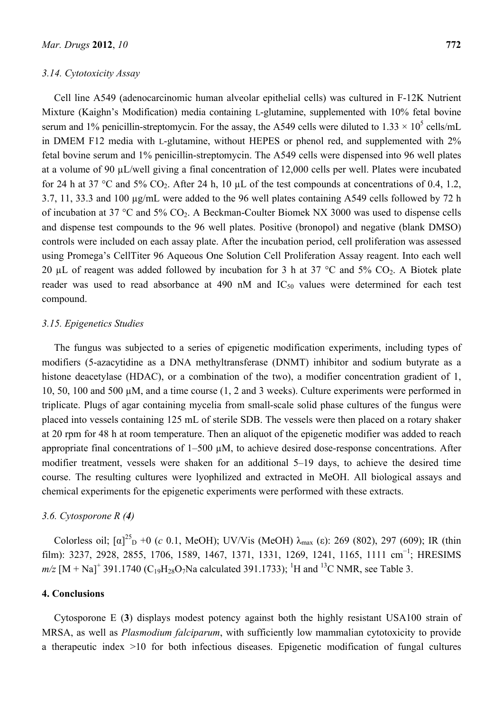# *3.14. Cytotoxicity Assay*

Cell line A549 (adenocarcinomic human alveolar epithelial cells) was cultured in F-12K Nutrient Mixture (Kaighn's Modification) media containing L-glutamine, supplemented with 10% fetal bovine serum and 1% penicillin-streptomycin. For the assay, the A549 cells were diluted to  $1.33 \times 10^5$  cells/mL in DMEM F12 media with L-glutamine, without HEPES or phenol red, and supplemented with 2% fetal bovine serum and 1% penicillin-streptomycin. The A549 cells were dispensed into 96 well plates at a volume of 90 µL/well giving a final concentration of 12,000 cells per well. Plates were incubated for 24 h at 37 °C and 5% CO<sub>2</sub>. After 24 h, 10  $\mu$ L of the test compounds at concentrations of 0.4, 1.2, 3.7, 11, 33.3 and 100 µg/mL were added to the 96 well plates containing A549 cells followed by 72 h of incubation at 37 °C and 5%  $CO_2$ . A Beckman-Coulter Biomek NX 3000 was used to dispense cells and dispense test compounds to the 96 well plates. Positive (bronopol) and negative (blank DMSO) controls were included on each assay plate. After the incubation period, cell proliferation was assessed using Promega's CellTiter 96 Aqueous One Solution Cell Proliferation Assay reagent. Into each well 20 µL of reagent was added followed by incubation for 3 h at 37  $\degree$ C and 5% CO<sub>2</sub>. A Biotek plate reader was used to read absorbance at 490 nM and  $IC_{50}$  values were determined for each test compound.

# *3.15. Epigenetics Studies*

The fungus was subjected to a series of epigenetic modification experiments, including types of modifiers (5-azacytidine as a DNA methyltransferase (DNMT) inhibitor and sodium butyrate as a histone deacetylase (HDAC), or a combination of the two), a modifier concentration gradient of 1, 10, 50, 100 and 500 µM, and a time course (1, 2 and 3 weeks). Culture experiments were performed in triplicate. Plugs of agar containing mycelia from small-scale solid phase cultures of the fungus were placed into vessels containing 125 mL of sterile SDB. The vessels were then placed on a rotary shaker at 20 rpm for 48 h at room temperature. Then an aliquot of the epigenetic modifier was added to reach appropriate final concentrations of 1–500 uM, to achieve desired dose-response concentrations. After modifier treatment, vessels were shaken for an additional 5–19 days, to achieve the desired time course. The resulting cultures were lyophilized and extracted in MeOH. All biological assays and chemical experiments for the epigenetic experiments were performed with these extracts.

# *3.6. Cytosporone R (4)*

Colorless oil;  $[\alpha]^{25}$ <sub>D</sub> +0 (*c* 0.1, MeOH); UV/Vis (MeOH)  $\lambda_{\text{max}}$  (*c*): 269 (802), 297 (609); IR (thin film): 3237, 2928, 2855, 1706, 1589, 1467, 1371, 1331, 1269, 1241, 1165, 1111 cm<sup>-1</sup>; HRESIMS  $m/z$  [M + Na]<sup>+</sup> 391.1740 (C<sub>19</sub>H<sub>28</sub>O<sub>7</sub>Na calculated 391.1733); <sup>1</sup>H and <sup>13</sup>C NMR, see Table 3.

# **4. Conclusions**

Cytosporone E (**3**) displays modest potency against both the highly resistant USA100 strain of MRSA, as well as *Plasmodium falciparum*, with sufficiently low mammalian cytotoxicity to provide a therapeutic index >10 for both infectious diseases. Epigenetic modification of fungal cultures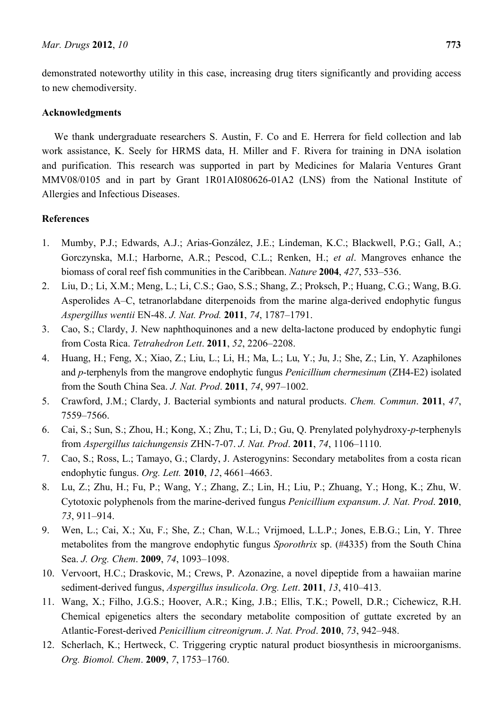demonstrated noteworthy utility in this case, increasing drug titers significantly and providing access to new chemodiversity.

# **Acknowledgments**

We thank undergraduate researchers S. Austin, F. Co and E. Herrera for field collection and lab work assistance, K. Seely for HRMS data, H. Miller and F. Rivera for training in DNA isolation and purification. This research was supported in part by Medicines for Malaria Ventures Grant MMV08/0105 and in part by Grant 1R01AI080626-01A2 (LNS) from the National Institute of Allergies and Infectious Diseases.

# **References**

- 1. Mumby, P.J.; Edwards, A.J.; Arias-González, J.E.; Lindeman, K.C.; Blackwell, P.G.; Gall, A.; Gorczynska, M.I.; Harborne, A.R.; Pescod, C.L.; Renken, H.; *et al*. Mangroves enhance the biomass of coral reef fish communities in the Caribbean. *Nature* **2004**, *427*, 533–536.
- 2. Liu, D.; Li, X.M.; Meng, L.; Li, C.S.; Gao, S.S.; Shang, Z.; Proksch, P.; Huang, C.G.; Wang, B.G. Asperolides A–C, tetranorlabdane diterpenoids from the marine alga-derived endophytic fungus *Aspergillus wentii* EN-48. *J. Nat. Prod.* **2011**, *74*, 1787–1791.
- 3. Cao, S.; Clardy, J. New naphthoquinones and a new delta-lactone produced by endophytic fungi from Costa Rica. *Tetrahedron Lett*. **2011**, *52*, 2206–2208.
- 4. Huang, H.; Feng, X.; Xiao, Z.; Liu, L.; Li, H.; Ma, L.; Lu, Y.; Ju, J.; She, Z.; Lin, Y. Azaphilones and *p*-terphenyls from the mangrove endophytic fungus *Penicillium chermesinum* (ZH4-E2) isolated from the South China Sea. *J. Nat. Prod*. **2011**, *74*, 997–1002.
- 5. Crawford, J.M.; Clardy, J. Bacterial symbionts and natural products. *Chem. Commun*. **2011**, *47*, 7559–7566.
- 6. Cai, S.; Sun, S.; Zhou, H.; Kong, X.; Zhu, T.; Li, D.; Gu, Q. Prenylated polyhydroxy-*p*-terphenyls from *Aspergillus taichungensis* ZHN-7-07. *J. Nat. Prod*. **2011**, *74*, 1106–1110.
- 7. Cao, S.; Ross, L.; Tamayo, G.; Clardy, J. Asterogynins: Secondary metabolites from a costa rican endophytic fungus. *Org. Lett.* **2010**, *12*, 4661–4663.
- 8. Lu, Z.; Zhu, H.; Fu, P.; Wang, Y.; Zhang, Z.; Lin, H.; Liu, P.; Zhuang, Y.; Hong, K.; Zhu, W. Cytotoxic polyphenols from the marine-derived fungus *Penicillium expansum*. *J. Nat. Prod*. **2010**, *73*, 911–914.
- 9. Wen, L.; Cai, X.; Xu, F.; She, Z.; Chan, W.L.; Vrijmoed, L.L.P.; Jones, E.B.G.; Lin, Y. Three metabolites from the mangrove endophytic fungus *Sporothrix* sp. (#4335) from the South China Sea. *J. Org. Chem*. **2009**, *74*, 1093–1098.
- 10. Vervoort, H.C.; Draskovic, M.; Crews, P. Azonazine, a novel dipeptide from a hawaiian marine sediment-derived fungus, *Aspergillus insulicola*. *Org. Lett*. **2011**, *13*, 410–413.
- 11. Wang, X.; Filho, J.G.S.; Hoover, A.R.; King, J.B.; Ellis, T.K.; Powell, D.R.; Cichewicz, R.H. Chemical epigenetics alters the secondary metabolite composition of guttate excreted by an Atlantic-Forest-derived *Penicillium citreonigrum*. *J. Nat. Prod*. **2010**, *73*, 942–948.
- 12. Scherlach, K.; Hertweck, C. Triggering cryptic natural product biosynthesis in microorganisms. *Org. Biomol. Chem*. **2009**, *7*, 1753–1760.